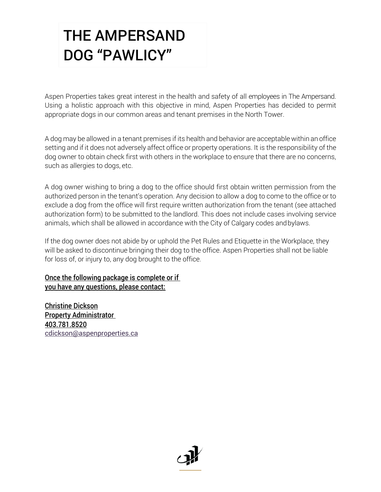Aspen Properties takes great interest in the health and safety of all employees in The Ampersand. Using a holistic approach with this objective in mind, Aspen Properties has decided to permit appropriate dogs in our common areas and tenant premises in the North Tower.

A dog may be allowed in a tenant premises if its health and behavior are acceptable within an office setting and if it does not adversely affect office or property operations. It is the responsibility of the dog owner to obtain check first with others in the workplace to ensure that there are no concerns, such as allergies to dogs, etc.

A dog owner wishing to bring a dog to the office should first obtain written permission from the authorized person in the tenant's operation. Any decision to allow a dog to come to the office or to exclude a dog from the office will first require written authorization from the tenant (see attached authorization form) to be submitted to the landlord. This does not include cases involving service animals, which shall be allowed in accordance with the City of Calgary codes andbylaws.

If the dog owner does not abide by or uphold the Pet Rules and Etiquette in the Workplace, they will be asked to discontinue bringing their dog to the office. Aspen Properties shall not be liable for loss of, or injury to, any dog brought to the office.

#### Once the following package is complete or if you have any questions, please contact:

Christine Dickson **Property Administrator** 403.781.8520 [cdickson@aspenproperties.ca](mailto:cdickson@aspenproperties.ca)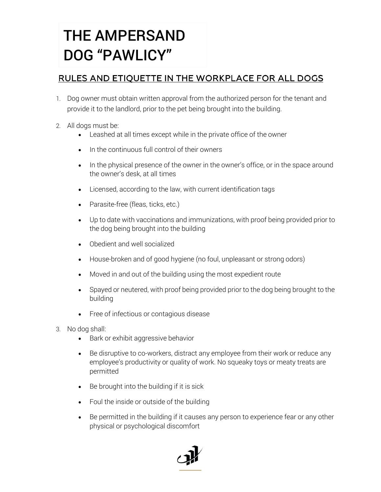### RULES AND ETIQUETTE IN THE WORKPLACE FOR ALL DOGS

- 1. Dog owner must obtain written approval from the authorized person for the tenant and provide it to the landlord, prior to the pet being brought into the building.
- 2. All dogs must be:
	- Leashed at all times except while in the private office of the owner
	- In the continuous full control of their owners
	- In the physical presence of the owner in the owner's office, or in the space around the owner's desk, at all times
	- Licensed, according to the law, with current identification tags
	- Parasite-free (fleas, ticks, etc.)
	- Up to date with vaccinations and immunizations, with proof being provided prior to the dog being brought into the building
	- Obedient and well socialized
	- House-broken and of good hygiene (no foul, unpleasant or strong odors)
	- Moved in and out of the building using the most expedient route
	- Spayed or neutered, with proof being provided prior to the dog being brought to the building
	- Free of infectious or contagious disease
- 3. No dog shall:
	- Bark or exhibit aggressive behavior
	- Be disruptive to co-workers, distract any employee from their work or reduce any employee's productivity or quality of work. No squeaky toys or meaty treats are permitted
	- Be brought into the building if it is sick
	- Foul the inside or outside of the building
	- Be permitted in the building if it causes any person to experience fear or any other physical or psychological discomfort

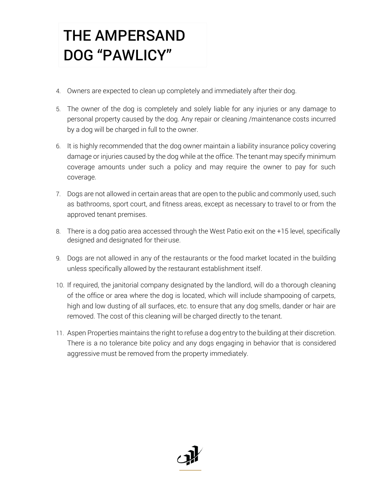- 4. Owners are expected to clean up completely and immediately after their dog.
- 5. The owner of the dog is completely and solely liable for any injuries or any damage to personal property caused by the dog. Any repair or cleaning /maintenance costs incurred by a dog will be charged in full to the owner.
- 6. It is highly recommended that the dog owner maintain a liability insurance policy covering damage or injuries caused by the dog while at the office. The tenant may specify minimum coverage amounts under such a policy and may require the owner to pay for such coverage.
- 7. Dogs are not allowed in certain areas that are open to the public and commonly used, such as bathrooms, sport court, and fitness areas, except as necessary to travel to or from the approved tenant premises.
- 8. There is a dog patio area accessed through the West Patio exit on the +15 level, specifically designed and designated for theiruse.
- 9. Dogs are not allowed in any of the restaurants or the food market located in the building unless specifically allowed by the restaurant establishment itself.
- 10. If required, the janitorial company designated by the landlord, will do a thorough cleaning of the office or area where the dog is located, which will include shampooing of carpets, high and low dusting of all surfaces, etc. to ensure that any dog smells, dander or hair are removed. The cost of this cleaning will be charged directly to the tenant.
- 11. Aspen Properties maintains the right to refuse a dog entry to the building at their discretion. There is a no tolerance bite policy and any dogs engaging in behavior that is considered aggressive must be removed from the property immediately.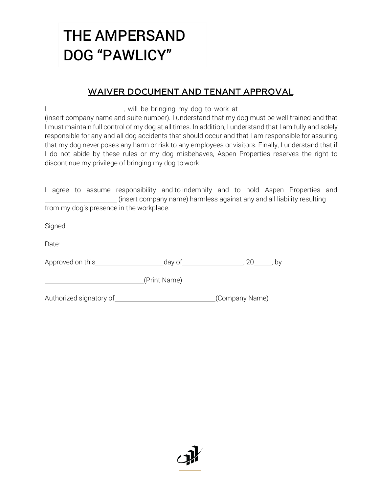#### **WAIVER DOCUMENT AND TENANT APPROVAL**

I , will be bringing my dog to work at (insert company name and suite number). I understand that my dog must be well trained and that I must maintain full control of my dog at all times. In addition, I understand that I am fully and solely responsible for any and all dog accidents that should occur and that I am responsible for assuring that my dog never poses any harm or risk to any employees or visitors. Finally, I understand that if I do not abide by these rules or my dog misbehaves, Aspen Properties reserves the right to discontinue my privilege of bringing my dog to work.

I agree to assume responsibility and to indemnify and to hold Aspen Properties and (insert company name) harmless against any and all liability resulting from my dog's presence in the workplace.

| Signed: |  |  |  |
|---------|--|--|--|
|         |  |  |  |
|         |  |  |  |

| Date: |  |
|-------|--|
|       |  |

Approved on this day of , 20 , by

(Print Name)

Authorized signatory of (Company Name)

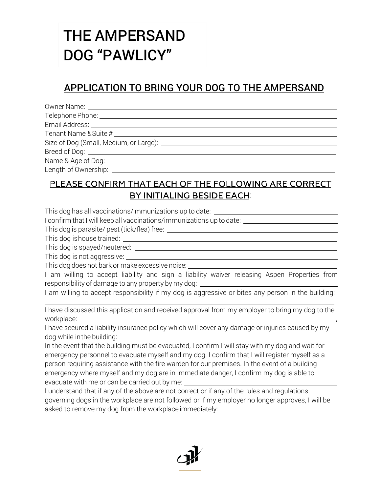### APPLICATION TO BRING YOUR DOG TO THE AMPERSAND

| Breed of Dog: <u>___________________________________</u> |
|----------------------------------------------------------|
|                                                          |
| Length of Ownership:                                     |

#### PLEASE CONFIRM THAT EACH OF THE FOLLOWING ARE CORRECT BY INITIALING BESIDE EACH:

This dog has all vaccinations/immunizations up to date: \_\_\_\_\_\_\_\_\_\_\_\_\_\_\_\_\_\_\_\_\_\_\_\_\_

I confirm that I will keep all vaccinations/immunizations up to date:

This dog is parasite/ pest (tick/flea) free:

This dog ishouse trained:

This dog is spayed/neutered:

This dog is not aggressive:

This dog does not bark or make excessive noise:

I am willing to accept liability and sign a liability waiver releasing Aspen Properties from responsibility of damage to any property by my dog:

I am willing to accept responsibility if my dog is aggressive or bites any person in the building:

I have discussed this application and received approval from my employer to bring my dog to the workplace:

I have secured a liability insurance policy which will cover any damage or injuries caused by my dog while inthe building:

In the event that the building must be evacuated, I confirm I will stay with my dog and wait for emergency personnel to evacuate myself and my dog. I confirm that I will register myself as a person requiring assistance with the fire warden for our premises. In the event of a building emergency where myself and my dog are in immediate danger, I confirm my dog is able to evacuate with me or can be carried out by me:

I understand that if any of the above are not correct or if any of the rules and regulations governing dogs in the workplace are not followed or if my employer no longer approves, I will be asked to remove my dog from the workplace immediately: \_\_\_\_\_\_\_\_\_\_\_\_\_\_\_\_\_\_\_\_\_\_\_\_\_